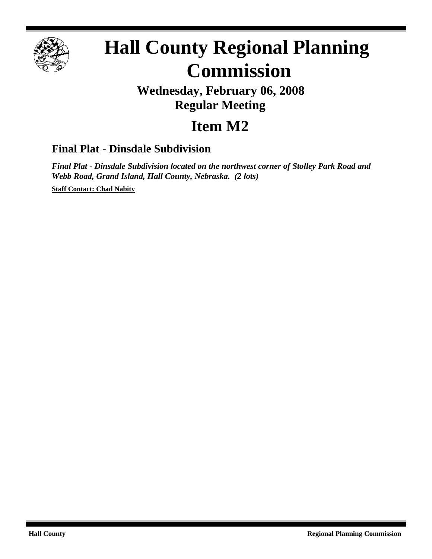

# **Hall County Regional Planning Commission**

## **Wednesday, February 06, 2008 Regular Meeting**

# **Item M2**

### **Final Plat - Dinsdale Subdivision**

*Final Plat - Dinsdale Subdivision located on the northwest corner of Stolley Park Road and Webb Road, Grand Island, Hall County, Nebraska. (2 lots)*

**Staff Contact: Chad Nabity**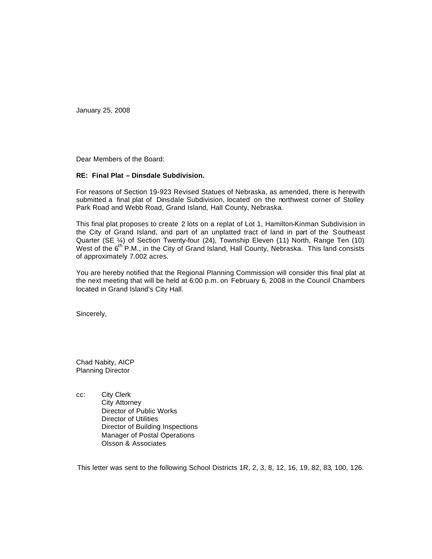January 25, 2008

Dear Members of the Board:

#### **RE: Final Plat – Dinsdale Subdivision.**

For reasons of Section 19-923 Revised Statues of Nebraska, as amended, there is herewith submitted a final plat of Dinsdale Subdivision, located on the northwest corner of Stolley Park Road and Webb Road, Grand Island, Hall County, Nebraska.

This final plat proposes to create 2 lots on a replat of Lot 1, Hamilton-Kinman Subdivision in the City of Grand Island, and part of an unplatted tract of land in part of the Southeast Quarter (SE ¼) of Section Twenty-four (24), Township Eleven (11) North, Range Ten (10) West of the  $6<sup>th</sup>$  P.M., in the City of Grand Island, Hall County, Nebraska. This land consists of approximately 7.002 acres.

You are hereby notified that the Regional Planning Commission will consider this final plat at the next meeting that will be held at 6:00 p.m. on February 6, 2008 in the Council Chambers located in Grand Island's City Hall.

Sincerely,

Chad Nabity, AICP Planning Director

cc: City Clerk City Attorney Director of Public Works Director of Utilities Director of Building Inspections Manager of Postal Operations Olsson & Associates

This letter was sent to the following School Districts 1R, 2, 3, 8, 12, 16, 19, 82, 83, 100, 126.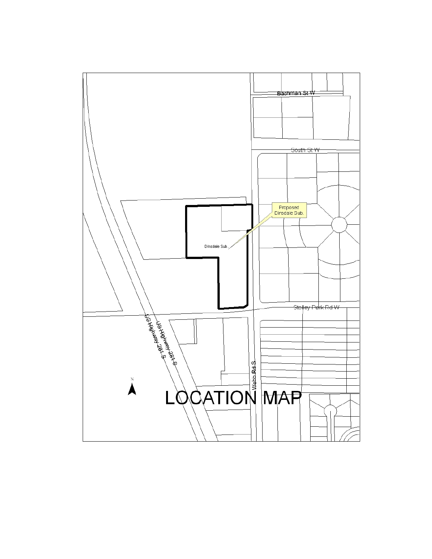